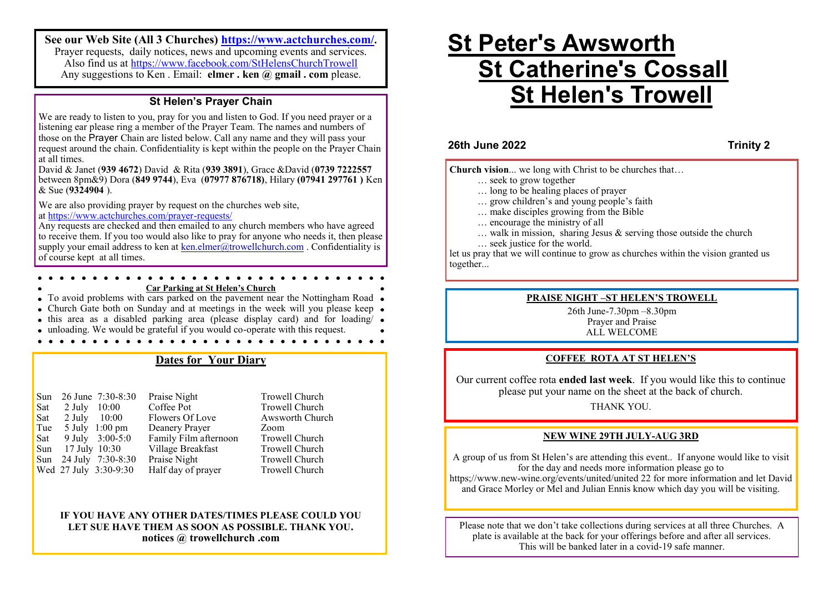**See our Web Site (All 3 Churches) <https://www.actchurches.com/>.** Prayer requests, daily notices, news and upcoming events and services. Also find us at https://www.facebook.com/StHelensChurchTrowell Any suggestions to Ken . Email: **elmer . ken @ gmail . com** please.

## **St Helen's Prayer Chain**

We are ready to listen to you, pray for you and listen to God. If you need prayer or a listening ear please ring a member of the Prayer Team. The names and numbers of those on the Prayer Chain are listed below. Call any name and they will pass your request around the chain. Confidentiality is kept within the people on the Prayer Chain at all times.

David & Janet (**939 4672**) David & Rita (**939 3891**), Grace &David (**0739 7222557**  between 8pm&9) Dora (**849 9744**), Eva (**07977 876718)**, Hilary **(07941 297761 )** Ken & Sue (**9324904** ).

We are also providing prayer by request on the churches web site, at [https://www.actchurches.com/prayer](https://www.actchurches.com/prayer-requests/)-requests/

Any requests are checked and then emailed to any church members who have agreed to receive them. If you too would also like to pray for anyone who needs it, then please supply your email address to ken at [ken.elmer@trowellchurch.com](mailto:ken.elmer@trowellchurch.com) . Confidentiality is of course kept at all times.

#### **Car Parking at St Helen's Church**

 $\bullet$  To avoid problems with cars parked on the pavement near the Nottingham Road  $\bullet$ 

- Church Gate both on Sunday and at meetings in the week will you please keep •
- $\bullet$  this area as a disabled parking area (please display card) and for loading/ $\bullet$
- unloading. We would be grateful if you would co-operate with this request.

# **Dates for Your Diary**

Sun 26 June 7:30-8:30 Praise Night<br>
Sat 2 July 10:00 Coffee Pot Trowell Church Sat 2 July 10:00 Coffee Pot Trowell Church<br>
Sat 2 July 10:00 Flowers Of Love Awsworth Church Sat 2 July 10:00 Flowers Of Love<br>Tue 5 July 1:00 pm Deanery Prayer Tue 5 July 1:00 pm Deanery Prayer Zoom<br>
Sat 9 July 3:00-5:0 Family Film afternoon Trowell Church Sat  $9$  July  $3:00-5:0$  Family Film afternoon Sun 17 July 10:30 Village Breakfast Trowell Church Sun 24 July 7:30-8:30 Praise Night Trowell Church Wed 27 July 3:30-9:30 Half day of prayer Trowell Church

#### **IF YOU HAVE ANY OTHER DATES/TIMES PLEASE COULD YOU LET SUE HAVE THEM AS SOON AS POSSIBLE. THANK YOU. notices @ trowellchurch .com**

# **St Peter's Awsworth St Catherine's Cossall St Helen's Trowell**

**26th June 2022 Trinity 2**

**Church vision**... we long with Christ to be churches that…

- … seek to grow together
- … long to be healing places of prayer
- … grow children's and young people's faith
- … make disciples growing from the Bible
- … encourage the ministry of all
- $\ldots$  walk in mission, sharing Jesus & serving those outside the church
- … seek justice for the world.

let us pray that we will continue to grow as churches within the vision granted us together...

#### **PRAISE NIGHT –ST HELEN'S TROWELL**

26th June-7.30pm –8.30pm Prayer and Praise ALL WELCOME

#### **COFFEE ROTA AT ST HELEN'S**

Our current coffee rota **ended last week**. If you would like this to continue please put your name on the sheet at the back of church.

#### THANK YOU.

#### **NEW WINE 29TH JULY-AUG 3RD**

A group of us from St Helen's are attending this event.. If anyone would like to visit for the day and needs more information please go to https;//www.new-wine.org/events/united/united 22 for more information and let David and Grace Morley or Mel and Julian Ennis know which day you will be visiting.

Please note that we don't take collections during services at all three Churches. A plate is available at the back for your offerings before and after all services. This will be banked later in a covid-19 safe manner.